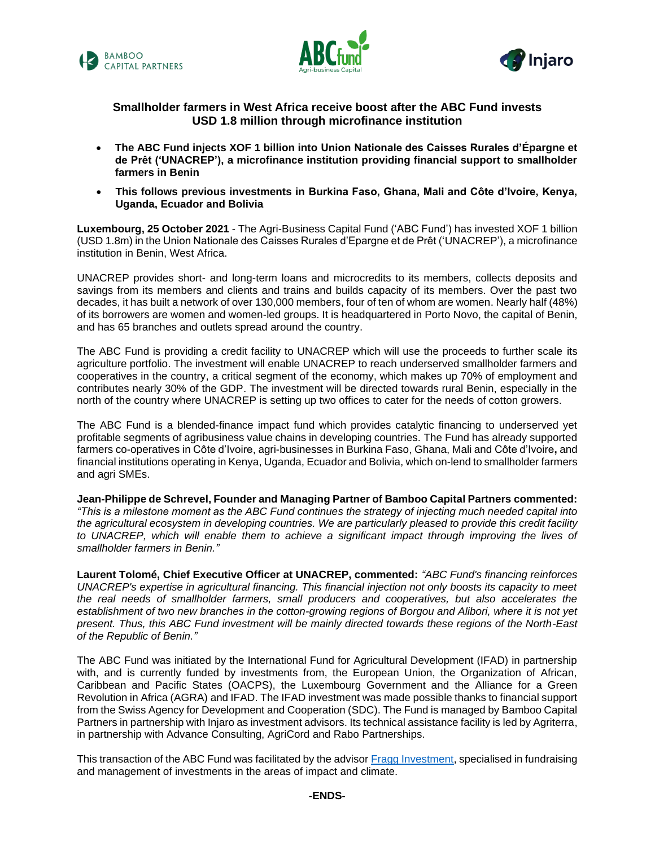





# **Smallholder farmers in West Africa receive boost after the ABC Fund invests USD 1.8 million through microfinance institution**

- **The ABC Fund injects XOF 1 billion into Union Nationale des Caisses Rurales d'Épargne et de Prêt ('UNACREP'), a microfinance institution providing financial support to smallholder farmers in Benin**
- **This follows previous investments in Burkina Faso, Ghana, Mali and Côte d'Ivoire, Kenya, Uganda, Ecuador and Bolivia**

**Luxembourg, 25 October 2021** - The Agri-Business Capital Fund ('ABC Fund') has invested XOF 1 billion (USD 1.8m) in the Union Nationale des Caisses Rurales d'Epargne et de Prêt ('UNACREP'), a microfinance institution in Benin, West Africa.

UNACREP provides short- and long-term loans and microcredits to its members, collects deposits and savings from its members and clients and trains and builds capacity of its members. Over the past two decades, it has built a network of over 130,000 members, four of ten of whom are women. Nearly half (48%) of its borrowers are women and women-led groups. It is headquartered in Porto Novo, the capital of Benin, and has 65 branches and outlets spread around the country.

The ABC Fund is providing a credit facility to UNACREP which will use the proceeds to further scale its agriculture portfolio. The investment will enable UNACREP to reach underserved smallholder farmers and cooperatives in the country, a critical segment of the economy, which makes up 70% of employment and contributes nearly 30% of the GDP. The investment will be directed towards rural Benin, especially in the north of the country where UNACREP is setting up two offices to cater for the needs of cotton growers.

The ABC Fund is a blended-finance impact fund which provides catalytic financing to underserved yet profitable segments of agribusiness value chains in developing countries. The Fund has already supported farmers co-operatives in Côte d'Ivoire, agri-businesses in Burkina Faso, Ghana, Mali and Côte d'Ivoire**,** and financial institutions operating in Kenya, Uganda, Ecuador and Bolivia, which on-lend to smallholder farmers and agri SMEs.

**Jean-Philippe de Schrevel, Founder and Managing Partner of Bamboo Capital Partners commented:**  *"This is a milestone moment as the ABC Fund continues the strategy of injecting much needed capital into the agricultural ecosystem in developing countries. We are particularly pleased to provide this credit facility to UNACREP, which will enable them to achieve a significant impact through improving the lives of smallholder farmers in Benin."*

**Laurent Tolomé, Chief Executive Officer at UNACREP, commented:** *"ABC Fund's financing reinforces UNACREP's expertise in agricultural financing. This financial injection not only boosts its capacity to meet the real needs of smallholder farmers, small producers and cooperatives, but also accelerates the establishment of two new branches in the cotton-growing regions of Borgou and Alibori, where it is not yet present. Thus, this ABC Fund investment will be mainly directed towards these regions of the North-East of the Republic of Benin."*

The ABC Fund was initiated by the International Fund for Agricultural Development (IFAD) in partnership with, and is currently funded by investments from, the European Union, the Organization of African, Caribbean and Pacific States (OACPS), the Luxembourg Government and the Alliance for a Green Revolution in Africa (AGRA) and IFAD. The IFAD investment was made possible thanks to financial support from the Swiss Agency for Development and Cooperation (SDC). The Fund is managed by Bamboo Capital Partners in partnership with Injaro as investment advisors. Its technical assistance facility is led by Agriterra, in partnership with Advance Consulting, AgriCord and Rabo Partnerships.

This transaction of the ABC Fund was facilitated by the advisor [Fragg Investment,](https://www.fragginvest.com/fr/page-daccueil/) specialised in fundraising and management of investments in the areas of impact and climate.